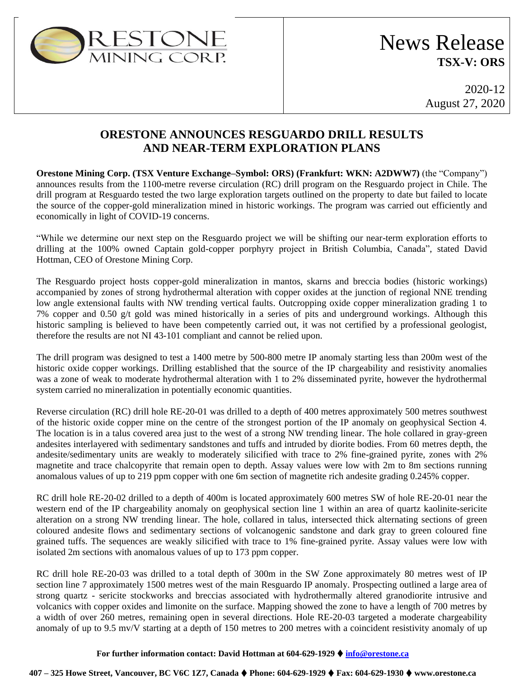

# News Release **TSX-V: ORS**

2020-12 August 27, 2020

## **ORESTONE ANNOUNCES RESGUARDO DRILL RESULTS AND NEAR-TERM EXPLORATION PLANS**

**Orestone Mining Corp. (TSX Venture Exchange–Symbol: ORS) (Frankfurt: WKN: A2DWW7)** (the "Company") announces results from the 1100-metre reverse circulation (RC) drill program on the Resguardo project in Chile. The drill program at Resguardo tested the two large exploration targets outlined on the property to date but failed to locate the source of the copper-gold mineralization mined in historic workings. The program was carried out efficiently and economically in light of COVID-19 concerns.

"While we determine our next step on the Resguardo project we will be shifting our near-term exploration efforts to drilling at the 100% owned Captain gold-copper porphyry project in British Columbia, Canada", stated David Hottman, CEO of Orestone Mining Corp.

The Resguardo project hosts copper-gold mineralization in mantos, skarns and breccia bodies (historic workings) accompanied by zones of strong hydrothermal alteration with copper oxides at the junction of regional NNE trending low angle extensional faults with NW trending vertical faults. Outcropping oxide copper mineralization grading 1 to 7% copper and 0.50 g/t gold was mined historically in a series of pits and underground workings. Although this historic sampling is believed to have been competently carried out, it was not certified by a professional geologist, therefore the results are not NI 43-101 compliant and cannot be relied upon.

The drill program was designed to test a 1400 metre by 500-800 metre IP anomaly starting less than 200m west of the historic oxide copper workings. Drilling established that the source of the IP chargeability and resistivity anomalies was a zone of weak to moderate hydrothermal alteration with 1 to 2% disseminated pyrite, however the hydrothermal system carried no mineralization in potentially economic quantities.

Reverse circulation (RC) drill hole RE-20-01 was drilled to a depth of 400 metres approximately 500 metres southwest of the historic oxide copper mine on the centre of the strongest portion of the IP anomaly on geophysical Section 4. The location is in a talus covered area just to the west of a strong NW trending linear. The hole collared in gray-green andesites interlayered with sedimentary sandstones and tuffs and intruded by diorite bodies. From 60 metres depth, the andesite/sedimentary units are weakly to moderately silicified with trace to 2% fine-grained pyrite, zones with 2% magnetite and trace chalcopyrite that remain open to depth. Assay values were low with 2m to 8m sections running anomalous values of up to 219 ppm copper with one 6m section of magnetite rich andesite grading 0.245% copper.

RC drill hole RE-20-02 drilled to a depth of 400m is located approximately 600 metres SW of hole RE-20-01 near the western end of the IP chargeability anomaly on geophysical section line 1 within an area of quartz kaolinite-sericite alteration on a strong NW trending linear. The hole, collared in talus, intersected thick alternating sections of green coloured andesite flows and sedimentary sections of volcanogenic sandstone and dark gray to green coloured fine grained tuffs. The sequences are weakly silicified with trace to 1% fine-grained pyrite. Assay values were low with isolated 2m sections with anomalous values of up to 173 ppm copper.

RC drill hole RE-20-03 was drilled to a total depth of 300m in the SW Zone approximately 80 metres west of IP section line 7 approximately 1500 metres west of the main Resguardo IP anomaly. Prospecting outlined a large area of strong quartz - sericite stockworks and breccias associated with hydrothermally altered granodiorite intrusive and volcanics with copper oxides and limonite on the surface. Mapping showed the zone to have a length of 700 metres by a width of over 260 metres, remaining open in several directions. Hole RE-20-03 targeted a moderate chargeability anomaly of up to 9.5 mv/V starting at a depth of 150 metres to 200 metres with a coincident resistivity anomaly of up

### **For further information contact: David Hottman at 604-629-1929 info@orestone.ca**